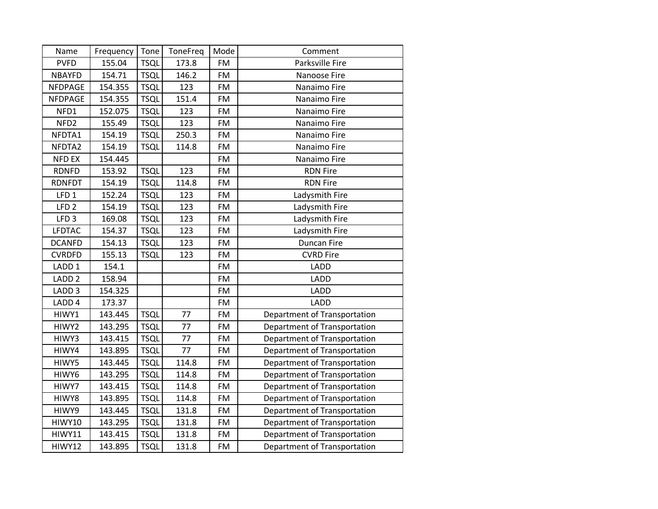| Name              | Frequency | Tone        | ToneFreq | Mode      | Comment                      |
|-------------------|-----------|-------------|----------|-----------|------------------------------|
| <b>PVFD</b>       | 155.04    | <b>TSQL</b> | 173.8    | <b>FM</b> | Parksville Fire              |
| <b>NBAYFD</b>     | 154.71    | <b>TSQL</b> | 146.2    | <b>FM</b> | Nanoose Fire                 |
| <b>NFDPAGE</b>    | 154.355   | <b>TSQL</b> | 123      | <b>FM</b> | Nanaimo Fire                 |
| NFDPAGE           | 154.355   | <b>TSQL</b> | 151.4    | <b>FM</b> | Nanaimo Fire                 |
| NFD1              | 152.075   | <b>TSQL</b> | 123      | <b>FM</b> | Nanaimo Fire                 |
| NFD <sub>2</sub>  | 155.49    | <b>TSQL</b> | 123      | <b>FM</b> | Nanaimo Fire                 |
| NFDTA1            | 154.19    | <b>TSQL</b> | 250.3    | FM        | Nanaimo Fire                 |
| NFDTA2            | 154.19    | <b>TSQL</b> | 114.8    | <b>FM</b> | Nanaimo Fire                 |
| <b>NFD EX</b>     | 154.445   |             |          | <b>FM</b> | Nanaimo Fire                 |
| <b>RDNFD</b>      | 153.92    | <b>TSQL</b> | 123      | <b>FM</b> | <b>RDN Fire</b>              |
| <b>RDNFDT</b>     | 154.19    | <b>TSQL</b> | 114.8    | <b>FM</b> | <b>RDN Fire</b>              |
| LFD <sub>1</sub>  | 152.24    | <b>TSQL</b> | 123      | <b>FM</b> | Ladysmith Fire               |
| LFD <sub>2</sub>  | 154.19    | <b>TSQL</b> | 123      | <b>FM</b> | Ladysmith Fire               |
| LFD <sub>3</sub>  | 169.08    | <b>TSQL</b> | 123      | <b>FM</b> | Ladysmith Fire               |
| <b>LFDTAC</b>     | 154.37    | <b>TSQL</b> | 123      | <b>FM</b> | Ladysmith Fire               |
| <b>DCANFD</b>     | 154.13    | <b>TSQL</b> | 123      | <b>FM</b> | <b>Duncan Fire</b>           |
| <b>CVRDFD</b>     | 155.13    | <b>TSQL</b> | 123      | <b>FM</b> | <b>CVRD Fire</b>             |
| LADD <sub>1</sub> | 154.1     |             |          | <b>FM</b> | LADD                         |
| LADD <sub>2</sub> | 158.94    |             |          | <b>FM</b> | LADD                         |
| LADD <sub>3</sub> | 154.325   |             |          | <b>FM</b> | <b>LADD</b>                  |
| LADD <sub>4</sub> | 173.37    |             |          | <b>FM</b> | LADD                         |
| HIWY1             | 143.445   | <b>TSQL</b> | 77       | <b>FM</b> | Department of Transportation |
| HIWY2             | 143.295   | <b>TSQL</b> | 77       | <b>FM</b> | Department of Transportation |
| HIWY3             | 143.415   | <b>TSQL</b> | 77       | <b>FM</b> | Department of Transportation |
| HIWY4             | 143.895   | <b>TSQL</b> | 77       | FM        | Department of Transportation |
| HIWY5             | 143.445   | <b>TSQL</b> | 114.8    | <b>FM</b> | Department of Transportation |
| HIWY6             | 143.295   | <b>TSQL</b> | 114.8    | FM        | Department of Transportation |
| HIWY7             | 143.415   | <b>TSQL</b> | 114.8    | FM        | Department of Transportation |
| HIWY8             | 143.895   | <b>TSQL</b> | 114.8    | <b>FM</b> | Department of Transportation |
| HIWY9             | 143.445   | <b>TSQL</b> | 131.8    | <b>FM</b> | Department of Transportation |
| HIWY10            | 143.295   | <b>TSQL</b> | 131.8    | <b>FM</b> | Department of Transportation |
| HIWY11            | 143.415   | <b>TSQL</b> | 131.8    | <b>FM</b> | Department of Transportation |
| HIWY12            | 143.895   | <b>TSQL</b> | 131.8    | <b>FM</b> | Department of Transportation |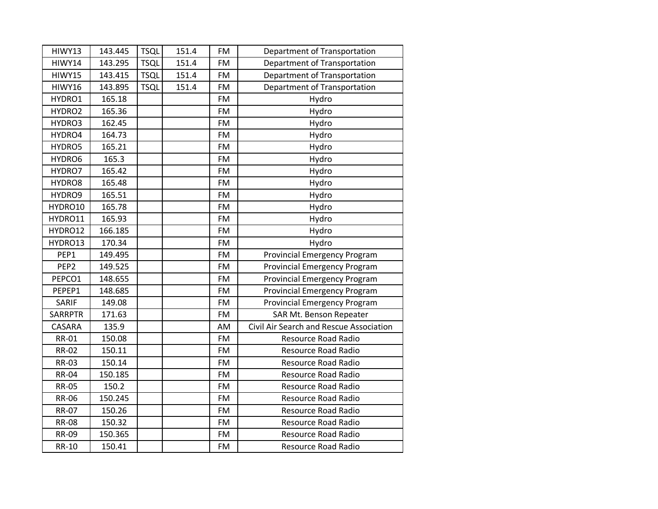| HIWY13           | 143.445 | <b>TSQL</b> | 151.4 | <b>FM</b> | Department of Transportation            |
|------------------|---------|-------------|-------|-----------|-----------------------------------------|
| HIWY14           | 143.295 | <b>TSQL</b> | 151.4 | <b>FM</b> | Department of Transportation            |
| HIWY15           | 143.415 | <b>TSQL</b> | 151.4 | <b>FM</b> | Department of Transportation            |
| HIWY16           | 143.895 | <b>TSQL</b> | 151.4 | <b>FM</b> | Department of Transportation            |
| HYDRO1           | 165.18  |             |       | <b>FM</b> | Hydro                                   |
| HYDRO2           | 165.36  |             |       | FM        | Hydro                                   |
| HYDRO3           | 162.45  |             |       | <b>FM</b> | Hydro                                   |
| HYDRO4           | 164.73  |             |       | <b>FM</b> | Hydro                                   |
| HYDRO5           | 165.21  |             |       | <b>FM</b> | Hydro                                   |
| HYDRO6           | 165.3   |             |       | <b>FM</b> | Hydro                                   |
| HYDRO7           | 165.42  |             |       | <b>FM</b> | Hydro                                   |
| HYDRO8           | 165.48  |             |       | <b>FM</b> | Hydro                                   |
| HYDRO9           | 165.51  |             |       | <b>FM</b> | Hydro                                   |
| HYDRO10          | 165.78  |             |       | <b>FM</b> | Hydro                                   |
| HYDRO11          | 165.93  |             |       | <b>FM</b> | Hydro                                   |
| HYDRO12          | 166.185 |             |       | <b>FM</b> | Hydro                                   |
| HYDRO13          | 170.34  |             |       | <b>FM</b> | Hydro                                   |
| PEP1             | 149.495 |             |       | <b>FM</b> | Provincial Emergency Program            |
| PEP <sub>2</sub> | 149.525 |             |       | <b>FM</b> | <b>Provincial Emergency Program</b>     |
| PEPCO1           | 148.655 |             |       | <b>FM</b> | <b>Provincial Emergency Program</b>     |
| PEPEP1           | 148.685 |             |       | <b>FM</b> | Provincial Emergency Program            |
| SARIF            | 149.08  |             |       | <b>FM</b> | <b>Provincial Emergency Program</b>     |
| <b>SARRPTR</b>   | 171.63  |             |       | <b>FM</b> | SAR Mt. Benson Repeater                 |
| CASARA           | 135.9   |             |       | AM        | Civil Air Search and Rescue Association |
| <b>RR-01</b>     | 150.08  |             |       | <b>FM</b> | <b>Resource Road Radio</b>              |
| <b>RR-02</b>     | 150.11  |             |       | <b>FM</b> | Resource Road Radio                     |
| <b>RR-03</b>     | 150.14  |             |       | <b>FM</b> | Resource Road Radio                     |
| <b>RR-04</b>     | 150.185 |             |       | <b>FM</b> | <b>Resource Road Radio</b>              |
| <b>RR-05</b>     | 150.2   |             |       | <b>FM</b> | Resource Road Radio                     |
| <b>RR-06</b>     | 150.245 |             |       | <b>FM</b> | Resource Road Radio                     |
| <b>RR-07</b>     | 150.26  |             |       | <b>FM</b> | Resource Road Radio                     |
| <b>RR-08</b>     | 150.32  |             |       | FM        | <b>Resource Road Radio</b>              |
| <b>RR-09</b>     | 150.365 |             |       | <b>FM</b> | Resource Road Radio                     |
| <b>RR-10</b>     | 150.41  |             |       | <b>FM</b> | <b>Resource Road Radio</b>              |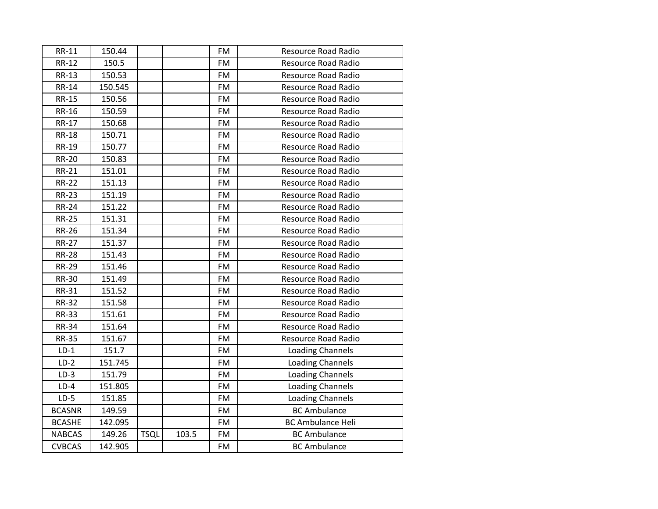| <b>RR-11</b>  | 150.44  |             |       | FM        | Resource Road Radio        |
|---------------|---------|-------------|-------|-----------|----------------------------|
| <b>RR-12</b>  | 150.5   |             |       | <b>FM</b> | <b>Resource Road Radio</b> |
| <b>RR-13</b>  | 150.53  |             |       | <b>FM</b> | <b>Resource Road Radio</b> |
| <b>RR-14</b>  | 150.545 |             |       | <b>FM</b> | <b>Resource Road Radio</b> |
| <b>RR-15</b>  | 150.56  |             |       | <b>FM</b> | <b>Resource Road Radio</b> |
| <b>RR-16</b>  | 150.59  |             |       | <b>FM</b> | Resource Road Radio        |
| <b>RR-17</b>  | 150.68  |             |       | <b>FM</b> | <b>Resource Road Radio</b> |
| <b>RR-18</b>  | 150.71  |             |       | <b>FM</b> | <b>Resource Road Radio</b> |
| RR-19         | 150.77  |             |       | <b>FM</b> | <b>Resource Road Radio</b> |
| <b>RR-20</b>  | 150.83  |             |       | <b>FM</b> | <b>Resource Road Radio</b> |
| <b>RR-21</b>  | 151.01  |             |       | <b>FM</b> | <b>Resource Road Radio</b> |
| <b>RR-22</b>  | 151.13  |             |       | FM.       | <b>Resource Road Radio</b> |
| <b>RR-23</b>  | 151.19  |             |       | <b>FM</b> | <b>Resource Road Radio</b> |
| <b>RR-24</b>  | 151.22  |             |       | <b>FM</b> | <b>Resource Road Radio</b> |
| <b>RR-25</b>  | 151.31  |             |       | <b>FM</b> | <b>Resource Road Radio</b> |
| <b>RR-26</b>  | 151.34  |             |       | <b>FM</b> | Resource Road Radio        |
| <b>RR-27</b>  | 151.37  |             |       | <b>FM</b> | <b>Resource Road Radio</b> |
| <b>RR-28</b>  | 151.43  |             |       | <b>FM</b> | Resource Road Radio        |
| <b>RR-29</b>  | 151.46  |             |       | <b>FM</b> | <b>Resource Road Radio</b> |
| <b>RR-30</b>  | 151.49  |             |       | <b>FM</b> | <b>Resource Road Radio</b> |
| <b>RR-31</b>  | 151.52  |             |       | <b>FM</b> | <b>Resource Road Radio</b> |
| <b>RR-32</b>  | 151.58  |             |       | <b>FM</b> | <b>Resource Road Radio</b> |
| <b>RR-33</b>  | 151.61  |             |       | <b>FM</b> | <b>Resource Road Radio</b> |
| <b>RR-34</b>  | 151.64  |             |       | <b>FM</b> | <b>Resource Road Radio</b> |
| <b>RR-35</b>  | 151.67  |             |       | <b>FM</b> | <b>Resource Road Radio</b> |
| $LD-1$        | 151.7   |             |       | <b>FM</b> | Loading Channels           |
| $LD-2$        | 151.745 |             |       | <b>FM</b> | <b>Loading Channels</b>    |
| $LD-3$        | 151.79  |             |       | <b>FM</b> | Loading Channels           |
| $LD-4$        | 151.805 |             |       | <b>FM</b> | <b>Loading Channels</b>    |
| $LD-5$        | 151.85  |             |       | <b>FM</b> | Loading Channels           |
| <b>BCASNR</b> | 149.59  |             |       | <b>FM</b> | <b>BC Ambulance</b>        |
| <b>BCASHE</b> | 142.095 |             |       | <b>FM</b> | <b>BC Ambulance Heli</b>   |
| <b>NABCAS</b> | 149.26  | <b>TSQL</b> | 103.5 | <b>FM</b> | <b>BC Ambulance</b>        |
| <b>CVBCAS</b> | 142.905 |             |       | <b>FM</b> | <b>BC Ambulance</b>        |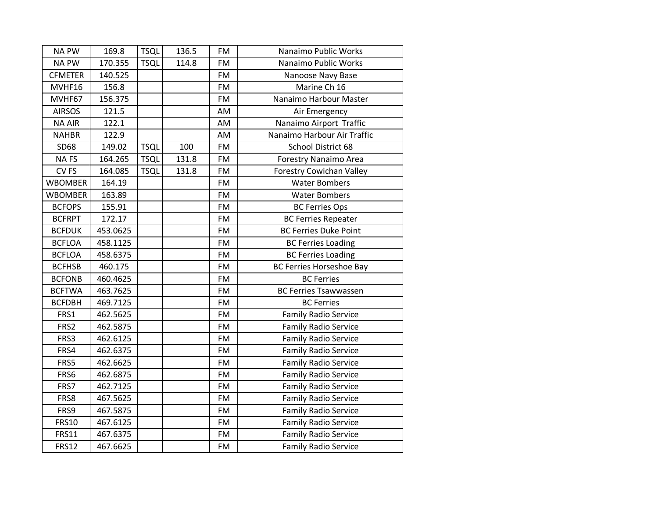| <b>NA PW</b>     | 169.8    | <b>TSQL</b> | 136.5 | <b>FM</b> | Nanaimo Public Works            |
|------------------|----------|-------------|-------|-----------|---------------------------------|
| <b>NA PW</b>     | 170.355  | <b>TSQL</b> | 114.8 | <b>FM</b> | Nanaimo Public Works            |
| <b>CFMETER</b>   | 140.525  |             |       | <b>FM</b> | Nanoose Navy Base               |
| MVHF16           | 156.8    |             |       | <b>FM</b> | Marine Ch 16                    |
| MVHF67           | 156.375  |             |       | <b>FM</b> | Nanaimo Harbour Master          |
| <b>AIRSOS</b>    | 121.5    |             |       | AM        | Air Emergency                   |
| <b>NA AIR</b>    | 122.1    |             |       | AM        | Nanaimo Airport Traffic         |
| <b>NAHBR</b>     | 122.9    |             |       | AM        | Nanaimo Harbour Air Traffic     |
| SD68             | 149.02   | <b>TSQL</b> | 100   | <b>FM</b> | School District 68              |
| <b>NAFS</b>      | 164.265  | <b>TSQL</b> | 131.8 | <b>FM</b> | Forestry Nanaimo Area           |
| CV <sub>FS</sub> | 164.085  | <b>TSQL</b> | 131.8 | <b>FM</b> | <b>Forestry Cowichan Valley</b> |
| <b>WBOMBER</b>   | 164.19   |             |       | FM        | <b>Water Bombers</b>            |
| <b>WBOMBER</b>   | 163.89   |             |       | <b>FM</b> | <b>Water Bombers</b>            |
| <b>BCFOPS</b>    | 155.91   |             |       | <b>FM</b> | <b>BC Ferries Ops</b>           |
| <b>BCFRPT</b>    | 172.17   |             |       | <b>FM</b> | <b>BC Ferries Repeater</b>      |
| <b>BCFDUK</b>    | 453.0625 |             |       | <b>FM</b> | <b>BC Ferries Duke Point</b>    |
| <b>BCFLOA</b>    | 458.1125 |             |       | <b>FM</b> | <b>BC Ferries Loading</b>       |
| <b>BCFLOA</b>    | 458.6375 |             |       | <b>FM</b> | <b>BC Ferries Loading</b>       |
| <b>BCFHSB</b>    | 460.175  |             |       | <b>FM</b> | <b>BC Ferries Horseshoe Bay</b> |
| <b>BCFONB</b>    | 460.4625 |             |       | <b>FM</b> | <b>BC Ferries</b>               |
| <b>BCFTWA</b>    | 463.7625 |             |       | <b>FM</b> | <b>BC Ferries Tsawwassen</b>    |
| <b>BCFDBH</b>    | 469.7125 |             |       | <b>FM</b> | <b>BC Ferries</b>               |
| FRS1             | 462.5625 |             |       | <b>FM</b> | <b>Family Radio Service</b>     |
| FRS2             | 462.5875 |             |       | <b>FM</b> | <b>Family Radio Service</b>     |
| FRS3             | 462.6125 |             |       | <b>FM</b> | <b>Family Radio Service</b>     |
| FRS4             | 462.6375 |             |       | <b>FM</b> | <b>Family Radio Service</b>     |
| FRS5             | 462.6625 |             |       | <b>FM</b> | <b>Family Radio Service</b>     |
| FRS6             | 462.6875 |             |       | <b>FM</b> | <b>Family Radio Service</b>     |
| FRS7             | 462.7125 |             |       | <b>FM</b> | <b>Family Radio Service</b>     |
| FRS8             | 467.5625 |             |       | <b>FM</b> | <b>Family Radio Service</b>     |
| FRS9             | 467.5875 |             |       | <b>FM</b> | <b>Family Radio Service</b>     |
| <b>FRS10</b>     | 467.6125 |             |       | <b>FM</b> | <b>Family Radio Service</b>     |
| <b>FRS11</b>     | 467.6375 |             |       | <b>FM</b> | <b>Family Radio Service</b>     |
| <b>FRS12</b>     | 467.6625 |             |       | <b>FM</b> | <b>Family Radio Service</b>     |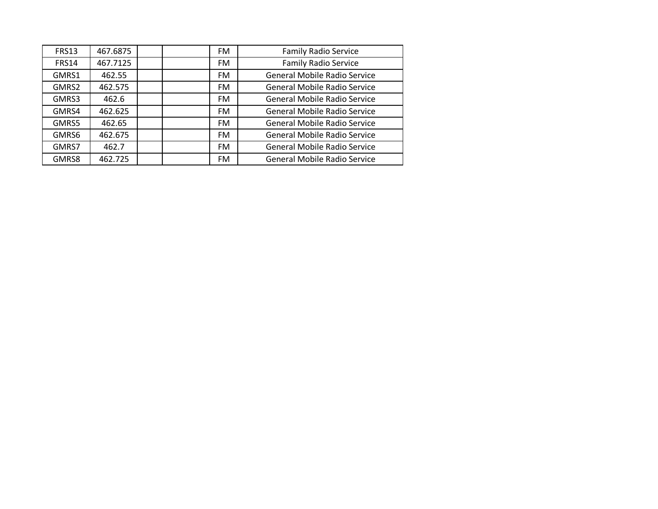| <b>FRS13</b> | 467.6875 |  | <b>FM</b> | <b>Family Radio Service</b>         |
|--------------|----------|--|-----------|-------------------------------------|
| <b>FRS14</b> | 467.7125 |  | FM.       | <b>Family Radio Service</b>         |
| GMRS1        | 462.55   |  | <b>FM</b> | <b>General Mobile Radio Service</b> |
| GMRS2        | 462.575  |  | <b>FM</b> | <b>General Mobile Radio Service</b> |
| GMRS3        | 462.6    |  | <b>FM</b> | <b>General Mobile Radio Service</b> |
| GMRS4        | 462.625  |  | <b>FM</b> | General Mobile Radio Service        |
| GMRS5        | 462.65   |  | <b>FM</b> | General Mobile Radio Service        |
| GMRS6        | 462.675  |  | <b>FM</b> | General Mobile Radio Service        |
| GMRS7        | 462.7    |  | <b>FM</b> | <b>General Mobile Radio Service</b> |
| GMRS8        | 462.725  |  | <b>FM</b> | <b>General Mobile Radio Service</b> |